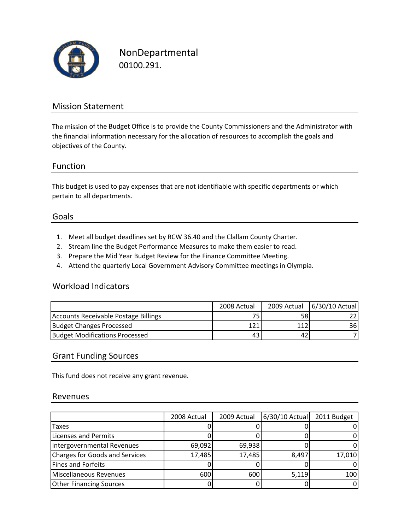

NonDepartmental 00100.291.

## Mission Statement

The mission of the Budget Office is to provide the County Commissioners and the Administrator with the financial information necessary for the allocation of resources to accomplish the goals and objectives of the County.

## Function

This budget is used to pay expenses that are not identifiable with specific departments or which pertain to all departments.

#### Goals

- 1. Meet all budget deadlines set by RCW 36.40 and the Clallam County Charter.
- 2. Stream line the Budget Performance Measures to make them easier to read.
- 3. Prepare the Mid Year Budget Review for the Finance Committee Meeting.
- 4. Attend the quarterly Local Government Advisory Committee meetings in Olympia.

### Workload Indicators

|                                       | 2008 Actual |    | 2009 Actual   6/30/10 Actual |
|---------------------------------------|-------------|----|------------------------------|
| Accounts Receivable Postage Billings  | 75.         | 58 |                              |
| Budget Changes Processed              | 121.        |    | 36I                          |
| <b>Budget Modifications Processed</b> | 43          | 42 |                              |

#### Grant Funding Sources

This fund does not receive any grant revenue.

#### Revenues

|                                       | 2008 Actual | 2009 Actual | 6/30/10 Actual | 2011 Budget |
|---------------------------------------|-------------|-------------|----------------|-------------|
| Taxes                                 |             |             |                | 0           |
| Licenses and Permits                  |             |             |                | 0           |
| Intergovernmental Revenues            | 69,092      | 69,938      |                | 0           |
| <b>Charges for Goods and Services</b> | 17,485      | 17,485      | 8,497          | 17,010      |
| Fines and Forfeits                    |             |             |                | 0           |
| Miscellaneous Revenues                | 600         | 600         | 5,119          | 100         |
| <b>Other Financing Sources</b>        |             |             |                | 0           |